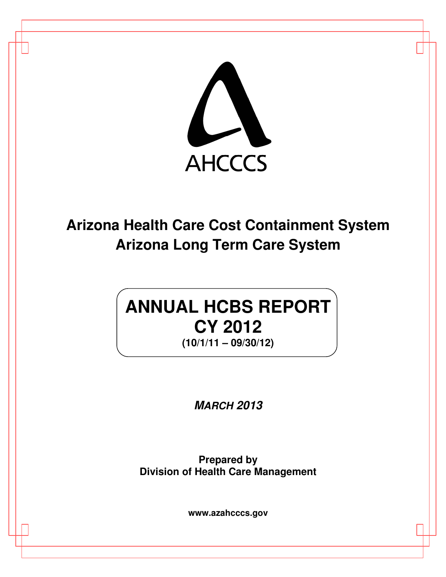

**Arizona Health Care Cost Containment System Arizona Long Term Care System**

# **ANNUAL HCBS REPORT CY 2012 (10/1/11 – 09/30/12)**

**MARCH 2013** 

**Prepared by Division of Health Care Management**

**www.azahcccs.gov**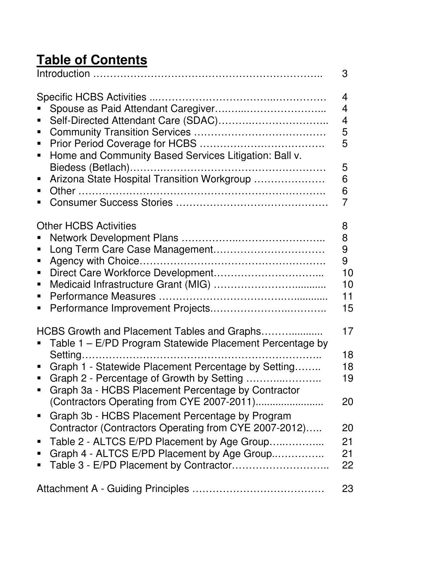# **Table of Contents**

|                                                                                                                                                                                                                                                                                                                                                                                                                                                                                                                                                                            | 3                                                      |
|----------------------------------------------------------------------------------------------------------------------------------------------------------------------------------------------------------------------------------------------------------------------------------------------------------------------------------------------------------------------------------------------------------------------------------------------------------------------------------------------------------------------------------------------------------------------------|--------------------------------------------------------|
| Self-Directed Attendant Care (SDAC)<br>Ξ<br>$\blacksquare$<br>٠<br>Home and Community Based Services Litigation: Ball v.<br>$\blacksquare$<br>Arizona State Hospital Transition Workgroup<br>п<br>٠<br>п                                                                                                                                                                                                                                                                                                                                                                   | 4<br>4<br>4<br>5<br>5<br>5<br>6<br>6<br>$\overline{7}$ |
| <b>Other HCBS Activities</b><br>п<br>Ξ<br>٠<br>п<br>п                                                                                                                                                                                                                                                                                                                                                                                                                                                                                                                      | 8<br>8<br>9<br>9<br>10<br>10<br>11<br>15               |
| HCBS Growth and Placement Tables and Graphs<br>Table 1 - E/PD Program Statewide Placement Percentage by<br>Graph 1 - Statewide Placement Percentage by Setting<br>$\blacksquare$<br>Graph 2 - Percentage of Growth by Setting<br>$\blacksquare$<br>Graph 3a - HCBS Placement Percentage by Contractor<br>$\blacksquare$<br>Graph 3b - HCBS Placement Percentage by Program<br>$\blacksquare$<br>Contractor (Contractors Operating from CYE 2007-2012)<br>Table 2 - ALTCS E/PD Placement by Age Group<br>$\blacksquare$<br>Graph 4 - ALTCS E/PD Placement by Age Group<br>п | 17<br>18<br>18<br>19<br>20<br>20<br>21<br>21<br>22     |
|                                                                                                                                                                                                                                                                                                                                                                                                                                                                                                                                                                            | 23                                                     |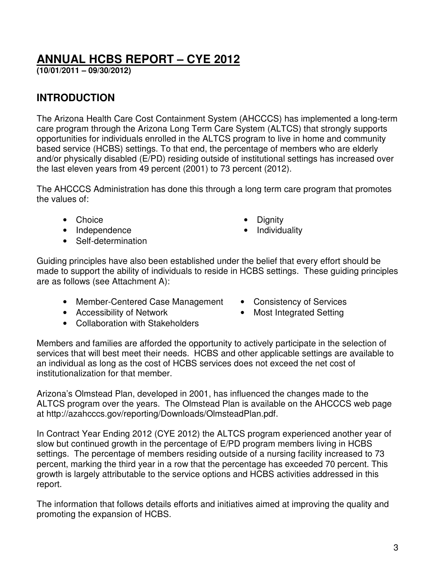# **ANNUAL HCBS REPORT – CYE 2012**

**(10/01/2011 – 09/30/2012)** 

# **INTRODUCTION**

The Arizona Health Care Cost Containment System (AHCCCS) has implemented a long-term care program through the Arizona Long Term Care System (ALTCS) that strongly supports opportunities for individuals enrolled in the ALTCS program to live in home and community based service (HCBS) settings. To that end, the percentage of members who are elderly and/or physically disabled (E/PD) residing outside of institutional settings has increased over the last eleven years from 49 percent (2001) to 73 percent (2012).

The AHCCCS Administration has done this through a long term care program that promotes the values of:

- Choice Dignity
- Independence Individuality
- Self-determination
- 
- 

Guiding principles have also been established under the belief that every effort should be made to support the ability of individuals to reside in HCBS settings. These guiding principles are as follows (see Attachment A):

- Member-Centered Case Management Consistency of Services
- Accessibility of Network Most Integrated Setting
- Collaboration with Stakeholders
- 
- 

Members and families are afforded the opportunity to actively participate in the selection of services that will best meet their needs. HCBS and other applicable settings are available to an individual as long as the cost of HCBS services does not exceed the net cost of institutionalization for that member.

Arizona's Olmstead Plan, developed in 2001, has influenced the changes made to the ALTCS program over the years. The Olmstead Plan is available on the AHCCCS web page at http://azahcccs.gov/reporting/Downloads/OlmsteadPlan.pdf.

In Contract Year Ending 2012 (CYE 2012) the ALTCS program experienced another year of slow but continued growth in the percentage of E/PD program members living in HCBS settings. The percentage of members residing outside of a nursing facility increased to 73 percent, marking the third year in a row that the percentage has exceeded 70 percent. This growth is largely attributable to the service options and HCBS activities addressed in this report.

The information that follows details efforts and initiatives aimed at improving the quality and promoting the expansion of HCBS.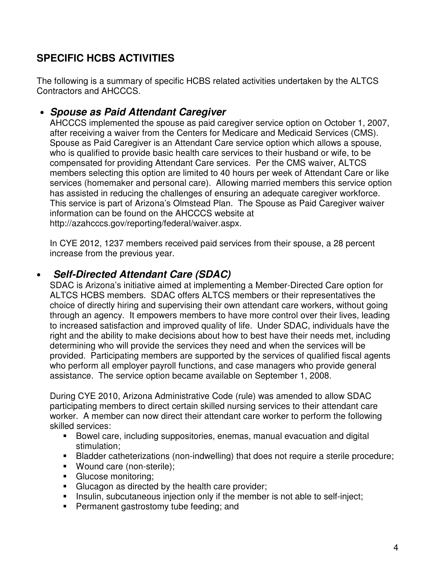# **SPECIFIC HCBS ACTIVITIES**

The following is a summary of specific HCBS related activities undertaken by the ALTCS Contractors and AHCCCS.

# • **Spouse as Paid Attendant Caregiver**

AHCCCS implemented the spouse as paid caregiver service option on October 1, 2007, after receiving a waiver from the Centers for Medicare and Medicaid Services (CMS). Spouse as Paid Caregiver is an Attendant Care service option which allows a spouse, who is qualified to provide basic health care services to their husband or wife, to be compensated for providing Attendant Care services. Per the CMS waiver, ALTCS members selecting this option are limited to 40 hours per week of Attendant Care or like services (homemaker and personal care). Allowing married members this service option has assisted in reducing the challenges of ensuring an adequate caregiver workforce. This service is part of Arizona's Olmstead Plan. The Spouse as Paid Caregiver waiver information can be found on the AHCCCS website at http://azahcccs.gov/reporting/federal/waiver.aspx.

In CYE 2012, 1237 members received paid services from their spouse, a 28 percent increase from the previous year.

# • **Self-Directed Attendant Care (SDAC)**

SDAC is Arizona's initiative aimed at implementing a Member-Directed Care option for ALTCS HCBS members. SDAC offers ALTCS members or their representatives the choice of directly hiring and supervising their own attendant care workers, without going through an agency. It empowers members to have more control over their lives, leading to increased satisfaction and improved quality of life. Under SDAC, individuals have the right and the ability to make decisions about how to best have their needs met, including determining who will provide the services they need and when the services will be provided. Participating members are supported by the services of qualified fiscal agents who perform all employer payroll functions, and case managers who provide general assistance. The service option became available on September 1, 2008.

During CYE 2010, Arizona Administrative Code (rule) was amended to allow SDAC participating members to direct certain skilled nursing services to their attendant care worker. A member can now direct their attendant care worker to perform the following skilled services:

- Bowel care, including suppositories, enemas, manual evacuation and digital stimulation;
- Bladder catheterizations (non-indwelling) that does not require a sterile procedure;
- **Wound care (non-sterile);**
- **Glucose monitoring:**
- **Glucagon as directed by the health care provider;**
- **Insulin, subcutaneous injection only if the member is not able to self-inject;**
- **Permanent gastrostomy tube feeding; and**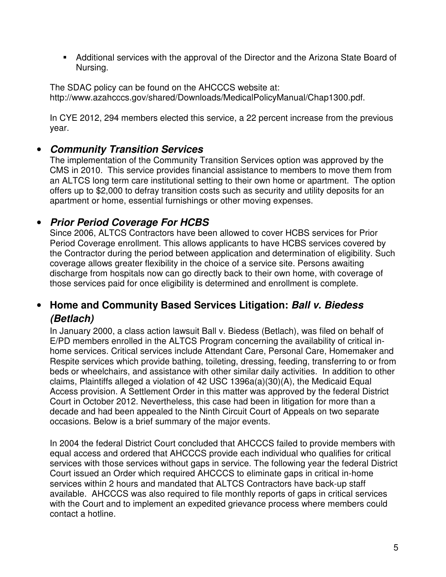Additional services with the approval of the Director and the Arizona State Board of Nursing.

The SDAC policy can be found on the AHCCCS website at: http://www.azahcccs.gov/shared/Downloads/MedicalPolicyManual/Chap1300.pdf.

In CYE 2012, 294 members elected this service, a 22 percent increase from the previous year.

# • **Community Transition Services**

The implementation of the Community Transition Services option was approved by the CMS in 2010. This service provides financial assistance to members to move them from an ALTCS long term care institutional setting to their own home or apartment. The option offers up to \$2,000 to defray transition costs such as security and utility deposits for an apartment or home, essential furnishings or other moving expenses.

# • **Prior Period Coverage For HCBS**

Since 2006, ALTCS Contractors have been allowed to cover HCBS services for Prior Period Coverage enrollment. This allows applicants to have HCBS services covered by the Contractor during the period between application and determination of eligibility. Such coverage allows greater flexibility in the choice of a service site. Persons awaiting discharge from hospitals now can go directly back to their own home, with coverage of those services paid for once eligibility is determined and enrollment is complete.

# • **Home and Community Based Services Litigation: Ball v. Biedess (Betlach)**

In January 2000, a class action lawsuit Ball v. Biedess (Betlach), was filed on behalf of E/PD members enrolled in the ALTCS Program concerning the availability of critical inhome services. Critical services include Attendant Care, Personal Care, Homemaker and Respite services which provide bathing, toileting, dressing, feeding, transferring to or from beds or wheelchairs, and assistance with other similar daily activities. In addition to other claims, Plaintiffs alleged a violation of 42 USC 1396a(a)(30)(A), the Medicaid Equal Access provision. A Settlement Order in this matter was approved by the federal District Court in October 2012. Nevertheless, this case had been in litigation for more than a decade and had been appealed to the Ninth Circuit Court of Appeals on two separate occasions. Below is a brief summary of the major events.

In 2004 the federal District Court concluded that AHCCCS failed to provide members with equal access and ordered that AHCCCS provide each individual who qualifies for critical services with those services without gaps in service. The following year the federal District Court issued an Order which required AHCCCS to eliminate gaps in critical in-home services within 2 hours and mandated that ALTCS Contractors have back-up staff available. AHCCCS was also required to file monthly reports of gaps in critical services with the Court and to implement an expedited grievance process where members could contact a hotline.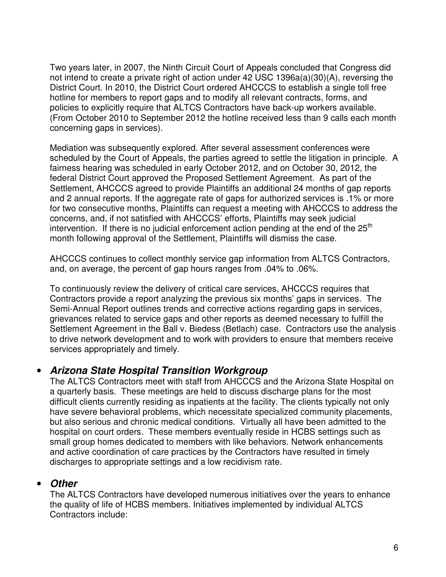Two years later, in 2007, the Ninth Circuit Court of Appeals concluded that Congress did not intend to create a private right of action under 42 USC 1396a(a)(30)(A), reversing the District Court. In 2010, the District Court ordered AHCCCS to establish a single toll free hotline for members to report gaps and to modify all relevant contracts, forms, and policies to explicitly require that ALTCS Contractors have back-up workers available. (From October 2010 to September 2012 the hotline received less than 9 calls each month concerning gaps in services).

Mediation was subsequently explored. After several assessment conferences were scheduled by the Court of Appeals, the parties agreed to settle the litigation in principle. A fairness hearing was scheduled in early October 2012, and on October 30, 2012, the federal District Court approved the Proposed Settlement Agreement. As part of the Settlement, AHCCCS agreed to provide Plaintiffs an additional 24 months of gap reports and 2 annual reports. If the aggregate rate of gaps for authorized services is .1% or more for two consecutive months, Plaintiffs can request a meeting with AHCCCS to address the concerns, and, if not satisfied with AHCCCS' efforts, Plaintiffs may seek judicial intervention. If there is no judicial enforcement action pending at the end of the  $25<sup>th</sup>$ month following approval of the Settlement, Plaintiffs will dismiss the case.

AHCCCS continues to collect monthly service gap information from ALTCS Contractors, and, on average, the percent of gap hours ranges from .04% to .06%.

To continuously review the delivery of critical care services, AHCCCS requires that Contractors provide a report analyzing the previous six months' gaps in services. The Semi-Annual Report outlines trends and corrective actions regarding gaps in services, grievances related to service gaps and other reports as deemed necessary to fulfill the Settlement Agreement in the Ball v. Biedess (Betlach) case. Contractors use the analysis to drive network development and to work with providers to ensure that members receive services appropriately and timely.

## • **Arizona State Hospital Transition Workgroup**

The ALTCS Contractors meet with staff from AHCCCS and the Arizona State Hospital on a quarterly basis. These meetings are held to discuss discharge plans for the most difficult clients currently residing as inpatients at the facility. The clients typically not only have severe behavioral problems, which necessitate specialized community placements, but also serious and chronic medical conditions. Virtually all have been admitted to the hospital on court orders. These members eventually reside in HCBS settings such as small group homes dedicated to members with like behaviors. Network enhancements and active coordination of care practices by the Contractors have resulted in timely discharges to appropriate settings and a low recidivism rate.

#### • **Other**

The ALTCS Contractors have developed numerous initiatives over the years to enhance the quality of life of HCBS members. Initiatives implemented by individual ALTCS Contractors include: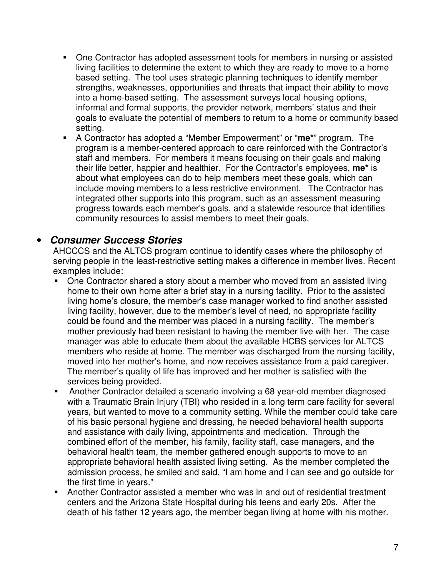- One Contractor has adopted assessment tools for members in nursing or assisted living facilities to determine the extent to which they are ready to move to a home based setting. The tool uses strategic planning techniques to identify member strengths, weaknesses, opportunities and threats that impact their ability to move into a home-based setting. The assessment surveys local housing options, informal and formal supports, the provider network, members' status and their goals to evaluate the potential of members to return to a home or community based setting.
- A Contractor has adopted a "Member Empowerment" or "**me\***" program. The program is a member-centered approach to care reinforced with the Contractor's staff and members. For members it means focusing on their goals and making their life better, happier and healthier. For the Contractor's employees, **me\*** is about what employees can do to help members meet these goals, which can include moving members to a less restrictive environment. The Contractor has integrated other supports into this program, such as an assessment measuring progress towards each member's goals, and a statewide resource that identifies community resources to assist members to meet their goals.

#### • **Consumer Success Stories**

AHCCCS and the ALTCS program continue to identify cases where the philosophy of serving people in the least-restrictive setting makes a difference in member lives. Recent examples include:

- One Contractor shared a story about a member who moved from an assisted living home to their own home after a brief stay in a nursing facility. Prior to the assisted living home's closure, the member's case manager worked to find another assisted living facility, however, due to the member's level of need, no appropriate facility could be found and the member was placed in a nursing facility. The member's mother previously had been resistant to having the member live with her. The case manager was able to educate them about the available HCBS services for ALTCS members who reside at home. The member was discharged from the nursing facility, moved into her mother's home, and now receives assistance from a paid caregiver. The member's quality of life has improved and her mother is satisfied with the services being provided.
- Another Contractor detailed a scenario involving a 68 year-old member diagnosed with a Traumatic Brain Injury (TBI) who resided in a long term care facility for several years, but wanted to move to a community setting. While the member could take care of his basic personal hygiene and dressing, he needed behavioral health supports and assistance with daily living, appointments and medication. Through the combined effort of the member, his family, facility staff, case managers, and the behavioral health team, the member gathered enough supports to move to an appropriate behavioral health assisted living setting. As the member completed the admission process, he smiled and said, "I am home and I can see and go outside for the first time in years."
- Another Contractor assisted a member who was in and out of residential treatment centers and the Arizona State Hospital during his teens and early 20s. After the death of his father 12 years ago, the member began living at home with his mother.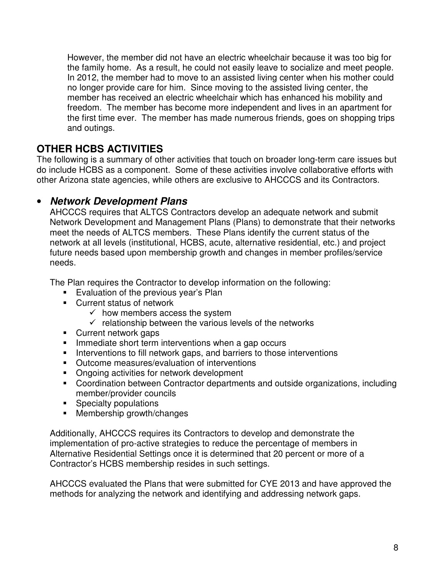However, the member did not have an electric wheelchair because it was too big for the family home. As a result, he could not easily leave to socialize and meet people. In 2012, the member had to move to an assisted living center when his mother could no longer provide care for him. Since moving to the assisted living center, the member has received an electric wheelchair which has enhanced his mobility and freedom. The member has become more independent and lives in an apartment for the first time ever. The member has made numerous friends, goes on shopping trips and outings.

# **OTHER HCBS ACTIVITIES**

The following is a summary of other activities that touch on broader long-term care issues but do include HCBS as a component. Some of these activities involve collaborative efforts with other Arizona state agencies, while others are exclusive to AHCCCS and its Contractors.

## • **Network Development Plans**

AHCCCS requires that ALTCS Contractors develop an adequate network and submit Network Development and Management Plans (Plans) to demonstrate that their networks meet the needs of ALTCS members. These Plans identify the current status of the network at all levels (institutional, HCBS, acute, alternative residential, etc.) and project future needs based upon membership growth and changes in member profiles/service needs.

The Plan requires the Contractor to develop information on the following:

- **Evaluation of the previous year's Plan**
- Current status of network
	- $\checkmark$  how members access the system
	- $\checkmark$  relationship between the various levels of the networks
- Current network gaps
- **IMMEDIATE:** Immediate short term interventions when a gap occurs
- Interventions to fill network gaps, and barriers to those interventions
- **•** Outcome measures/evaluation of interventions
- Ongoing activities for network development
- Coordination between Contractor departments and outside organizations, including member/provider councils
- **Specialty populations**
- **Membership growth/changes**

Additionally, AHCCCS requires its Contractors to develop and demonstrate the implementation of pro-active strategies to reduce the percentage of members in Alternative Residential Settings once it is determined that 20 percent or more of a Contractor's HCBS membership resides in such settings.

AHCCCS evaluated the Plans that were submitted for CYE 2013 and have approved the methods for analyzing the network and identifying and addressing network gaps.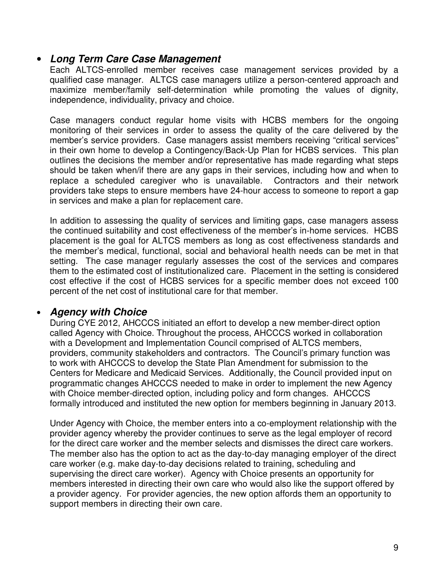#### • **Long Term Care Case Management**

Each ALTCS-enrolled member receives case management services provided by a qualified case manager. ALTCS case managers utilize a person-centered approach and maximize member/family self-determination while promoting the values of dignity, independence, individuality, privacy and choice.

Case managers conduct regular home visits with HCBS members for the ongoing monitoring of their services in order to assess the quality of the care delivered by the member's service providers. Case managers assist members receiving "critical services" in their own home to develop a Contingency/Back-Up Plan for HCBS services. This plan outlines the decisions the member and/or representative has made regarding what steps should be taken when/if there are any gaps in their services, including how and when to replace a scheduled caregiver who is unavailable. Contractors and their network providers take steps to ensure members have 24-hour access to someone to report a gap in services and make a plan for replacement care.

In addition to assessing the quality of services and limiting gaps, case managers assess the continued suitability and cost effectiveness of the member's in-home services. HCBS placement is the goal for ALTCS members as long as cost effectiveness standards and the member's medical, functional, social and behavioral health needs can be met in that setting. The case manager regularly assesses the cost of the services and compares them to the estimated cost of institutionalized care. Placement in the setting is considered cost effective if the cost of HCBS services for a specific member does not exceed 100 percent of the net cost of institutional care for that member.

#### • **Agency with Choice**

During CYE 2012, AHCCCS initiated an effort to develop a new member-direct option called Agency with Choice. Throughout the process, AHCCCS worked in collaboration with a Development and Implementation Council comprised of ALTCS members, providers, community stakeholders and contractors. The Council's primary function was to work with AHCCCS to develop the State Plan Amendment for submission to the Centers for Medicare and Medicaid Services. Additionally, the Council provided input on programmatic changes AHCCCS needed to make in order to implement the new Agency with Choice member-directed option, including policy and form changes. AHCCCS formally introduced and instituted the new option for members beginning in January 2013.

Under Agency with Choice, the member enters into a co-employment relationship with the provider agency whereby the provider continues to serve as the legal employer of record for the direct care worker and the member selects and dismisses the direct care workers. The member also has the option to act as the day-to-day managing employer of the direct care worker (e.g. make day-to-day decisions related to training, scheduling and supervising the direct care worker). Agency with Choice presents an opportunity for members interested in directing their own care who would also like the support offered by a provider agency. For provider agencies, the new option affords them an opportunity to support members in directing their own care.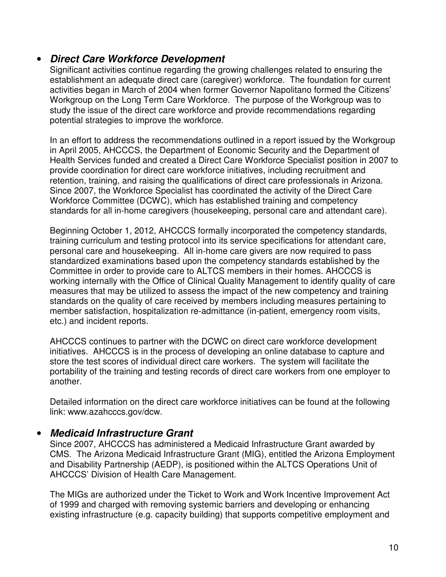#### • **Direct Care Workforce Development**

Significant activities continue regarding the growing challenges related to ensuring the establishment an adequate direct care (caregiver) workforce. The foundation for current activities began in March of 2004 when former Governor Napolitano formed the Citizens' Workgroup on the Long Term Care Workforce. The purpose of the Workgroup was to study the issue of the direct care workforce and provide recommendations regarding potential strategies to improve the workforce.

In an effort to address the recommendations outlined in a report issued by the Workgroup in April 2005, AHCCCS, the Department of Economic Security and the Department of Health Services funded and created a Direct Care Workforce Specialist position in 2007 to provide coordination for direct care workforce initiatives, including recruitment and retention, training, and raising the qualifications of direct care professionals in Arizona. Since 2007, the Workforce Specialist has coordinated the activity of the Direct Care Workforce Committee (DCWC), which has established training and competency standards for all in-home caregivers (housekeeping, personal care and attendant care).

Beginning October 1, 2012, AHCCCS formally incorporated the competency standards, training curriculum and testing protocol into its service specifications for attendant care, personal care and housekeeping. All in-home care givers are now required to pass standardized examinations based upon the competency standards established by the Committee in order to provide care to ALTCS members in their homes. AHCCCS is working internally with the Office of Clinical Quality Management to identify quality of care measures that may be utilized to assess the impact of the new competency and training standards on the quality of care received by members including measures pertaining to member satisfaction, hospitalization re-admittance (in-patient, emergency room visits, etc.) and incident reports.

AHCCCS continues to partner with the DCWC on direct care workforce development initiatives. AHCCCS is in the process of developing an online database to capture and store the test scores of individual direct care workers. The system will facilitate the portability of the training and testing records of direct care workers from one employer to another.

Detailed information on the direct care workforce initiatives can be found at the following link: www.azahcccs.gov/dcw.

#### • **Medicaid Infrastructure Grant**

Since 2007, AHCCCS has administered a Medicaid Infrastructure Grant awarded by CMS. The Arizona Medicaid Infrastructure Grant (MIG), entitled the Arizona Employment and Disability Partnership (AEDP), is positioned within the ALTCS Operations Unit of AHCCCS' Division of Health Care Management.

The MIGs are authorized under the Ticket to Work and Work Incentive Improvement Act of 1999 and charged with removing systemic barriers and developing or enhancing existing infrastructure (e.g. capacity building) that supports competitive employment and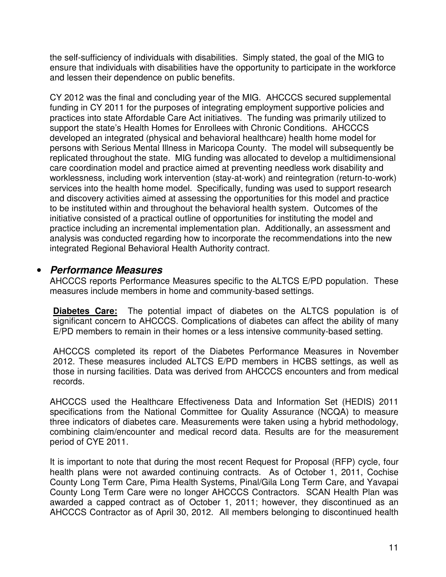the self-sufficiency of individuals with disabilities. Simply stated, the goal of the MIG to ensure that individuals with disabilities have the opportunity to participate in the workforce and lessen their dependence on public benefits.

CY 2012 was the final and concluding year of the MIG. AHCCCS secured supplemental funding in CY 2011 for the purposes of integrating employment supportive policies and practices into state Affordable Care Act initiatives. The funding was primarily utilized to support the state's Health Homes for Enrollees with Chronic Conditions. AHCCCS developed an integrated (physical and behavioral healthcare) health home model for persons with Serious Mental Illness in Maricopa County. The model will subsequently be replicated throughout the state. MIG funding was allocated to develop a multidimensional care coordination model and practice aimed at preventing needless work disability and worklessness, including work intervention (stay-at-work) and reintegration (return-to-work) services into the health home model. Specifically, funding was used to support research and discovery activities aimed at assessing the opportunities for this model and practice to be instituted within and throughout the behavioral health system. Outcomes of the initiative consisted of a practical outline of opportunities for instituting the model and practice including an incremental implementation plan. Additionally, an assessment and analysis was conducted regarding how to incorporate the recommendations into the new integrated Regional Behavioral Health Authority contract.

#### • **Performance Measures**

AHCCCS reports Performance Measures specific to the ALTCS E/PD population. These measures include members in home and community-based settings.

**Diabetes Care:** The potential impact of diabetes on the ALTCS population is of significant concern to AHCCCS. Complications of diabetes can affect the ability of many E/PD members to remain in their homes or a less intensive community-based setting.

AHCCCS completed its report of the Diabetes Performance Measures in November 2012. These measures included ALTCS E/PD members in HCBS settings, as well as those in nursing facilities. Data was derived from AHCCCS encounters and from medical records.

AHCCCS used the Healthcare Effectiveness Data and Information Set (HEDIS) 2011 specifications from the National Committee for Quality Assurance (NCQA) to measure three indicators of diabetes care. Measurements were taken using a hybrid methodology, combining claim/encounter and medical record data. Results are for the measurement period of CYE 2011.

It is important to note that during the most recent Request for Proposal (RFP) cycle, four health plans were not awarded continuing contracts. As of October 1, 2011, Cochise County Long Term Care, Pima Health Systems, Pinal/Gila Long Term Care, and Yavapai County Long Term Care were no longer AHCCCS Contractors. SCAN Health Plan was awarded a capped contract as of October 1, 2011; however, they discontinued as an AHCCCS Contractor as of April 30, 2012. All members belonging to discontinued health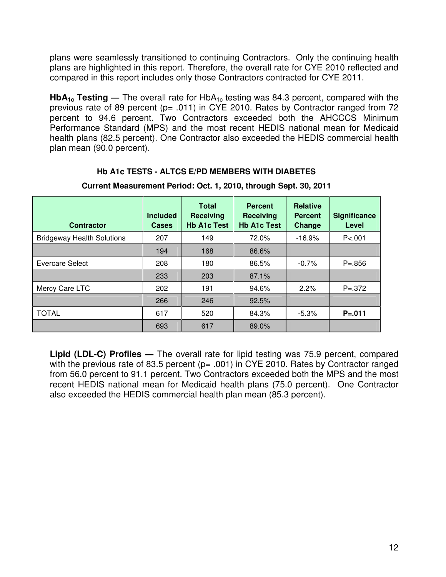plans were seamlessly transitioned to continuing Contractors. Only the continuing health plans are highlighted in this report. Therefore, the overall rate for CYE 2010 reflected and compared in this report includes only those Contractors contracted for CYE 2011.

**HbA<sub>1c</sub>** Testing — The overall rate for HbA<sub>1c</sub> testing was 84.3 percent, compared with the previous rate of 89 percent (p= .011) in CYE 2010. Rates by Contractor ranged from 72 percent to 94.6 percent. Two Contractors exceeded both the AHCCCS Minimum Performance Standard (MPS) and the most recent HEDIS national mean for Medicaid health plans (82.5 percent). One Contractor also exceeded the HEDIS commercial health plan mean (90.0 percent).

#### **Hb A1c TESTS - ALTCS E/PD MEMBERS WITH DIABETES**

| <b>Contractor</b>                 | <b>Included</b><br><b>Cases</b> | <b>Total</b><br>Receiving<br><b>Hb A1c Test</b> | <b>Percent</b><br>Receiving<br><b>Hb A1c Test</b> | <b>Relative</b><br><b>Percent</b><br>Change | <b>Significance</b><br>Level |
|-----------------------------------|---------------------------------|-------------------------------------------------|---------------------------------------------------|---------------------------------------------|------------------------------|
| <b>Bridgeway Health Solutions</b> | 207                             | 149                                             | 72.0%                                             | $-16.9%$                                    | P < .001                     |
|                                   | 194                             | 168                                             | 86.6%                                             |                                             |                              |
| Evercare Select                   | 208                             | 180                                             | 86.5%                                             | $-0.7%$                                     | $P = 856$                    |
|                                   | 233                             | 203                                             | 87.1%                                             |                                             |                              |
| Mercy Care LTC                    | 202                             | 191                                             | 94.6%                                             | 2.2%                                        | $P = 372$                    |
|                                   | 266                             | 246                                             | 92.5%                                             |                                             |                              |
| <b>TOTAL</b>                      | 617                             | 520                                             | 84.3%                                             | $-5.3\%$                                    | $P = .011$                   |
|                                   | 693                             | 617                                             | 89.0%                                             |                                             |                              |

**Current Measurement Period: Oct. 1, 2010, through Sept. 30, 2011**

Lipid (LDL-C) Profiles — The overall rate for lipid testing was 75.9 percent, compared with the previous rate of 83.5 percent ( $p= .001$ ) in CYE 2010. Rates by Contractor ranged from 56.0 percent to 91.1 percent. Two Contractors exceeded both the MPS and the most recent HEDIS national mean for Medicaid health plans (75.0 percent). One Contractor also exceeded the HEDIS commercial health plan mean (85.3 percent).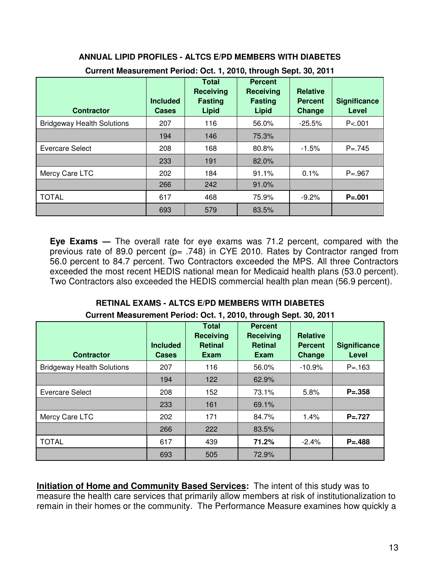| <b>Contractor</b>                 | <b>Included</b><br><b>Cases</b> | <b>Total</b><br><b>Receiving</b><br><b>Fasting</b><br><b>Lipid</b> | <b>Percent</b><br><b>Receiving</b><br><b>Fasting</b><br>Lipid | <b>Relative</b><br><b>Percent</b><br>Change | <b>Significance</b><br>Level |
|-----------------------------------|---------------------------------|--------------------------------------------------------------------|---------------------------------------------------------------|---------------------------------------------|------------------------------|
| <b>Bridgeway Health Solutions</b> | 207                             | 116                                                                | 56.0%                                                         | $-25.5%$                                    | P < 001                      |
|                                   | 194                             | 146                                                                | 75.3%                                                         |                                             |                              |
| Evercare Select                   | 208                             | 168                                                                | 80.8%                                                         | $-1.5%$                                     | $P = 745$                    |
|                                   | 233                             | 191                                                                | 82.0%                                                         |                                             |                              |
| Mercy Care LTC                    | 202                             | 184                                                                | 91.1%                                                         | 0.1%                                        | $P = .967$                   |
|                                   | 266                             | 242                                                                | 91.0%                                                         |                                             |                              |
| <b>TOTAL</b>                      | 617                             | 468                                                                | 75.9%                                                         | $-9.2\%$                                    | $P = .001$                   |
|                                   | 693                             | 579                                                                | 83.5%                                                         |                                             |                              |

#### **ANNUAL LIPID PROFILES - ALTCS E/PD MEMBERS WITH DIABETES Current Measurement Period: Oct. 1, 2010, through Sept. 30, 2011**

**Eye Exams** ― The overall rate for eye exams was 71.2 percent, compared with the previous rate of 89.0 percent ( $p= .748$ ) in CYE 2010. Rates by Contractor ranged from 56.0 percent to 84.7 percent. Two Contractors exceeded the MPS. All three Contractors exceeded the most recent HEDIS national mean for Medicaid health plans (53.0 percent). Two Contractors also exceeded the HEDIS commercial health plan mean (56.9 percent).

#### **RETINAL EXAMS - ALTCS E/PD MEMBERS WITH DIABETES Current Measurement Period: Oct. 1, 2010, through Sept. 30, 2011**

| <b>Contractor</b>                 | <b>Included</b><br><b>Cases</b> | <b>Total</b><br><b>Receiving</b><br><b>Retinal</b><br>Exam | <b>Percent</b><br><b>Receiving</b><br><b>Retinal</b><br><b>Exam</b> | <b>Relative</b><br><b>Percent</b><br>Change | <b>Significance</b><br>Level |
|-----------------------------------|---------------------------------|------------------------------------------------------------|---------------------------------------------------------------------|---------------------------------------------|------------------------------|
| <b>Bridgeway Health Solutions</b> | 207                             | 116                                                        | 56.0%                                                               | $-10.9%$                                    | $P = 163$                    |
|                                   | 194                             | 122                                                        | 62.9%                                                               |                                             |                              |
| <b>Evercare Select</b>            | 208                             | 152                                                        | 73.1%                                                               | 5.8%                                        | $P = 358$                    |
|                                   | 233                             | 161                                                        | 69.1%                                                               |                                             |                              |
| Mercy Care LTC                    | 202                             | 171                                                        | 84.7%                                                               | 1.4%                                        | $P = 727$                    |
|                                   | 266                             | 222                                                        | 83.5%                                                               |                                             |                              |
| <b>TOTAL</b>                      | 617                             | 439                                                        | 71.2%                                                               | $-2.4%$                                     | $P = 488$                    |
|                                   | 693                             | 505                                                        | 72.9%                                                               |                                             |                              |

**Initiation of Home and Community Based Services:** The intent of this study was to measure the health care services that primarily allow members at risk of institutionalization to remain in their homes or the community. The Performance Measure examines how quickly a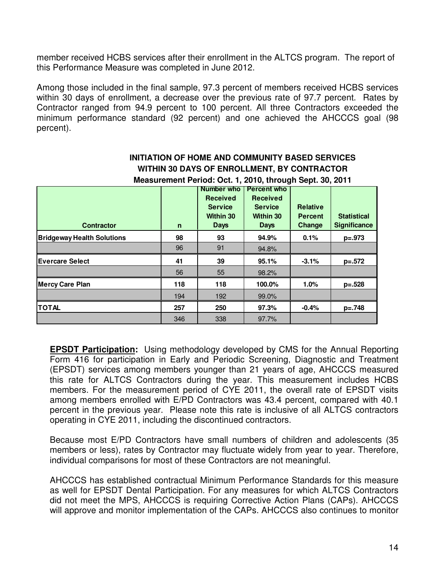member received HCBS services after their enrollment in the ALTCS program. The report of this Performance Measure was completed in June 2012.

Among those included in the final sample, 97.3 percent of members received HCBS services within 30 days of enrollment, a decrease over the previous rate of 97.7 percent. Rates by Contractor ranged from 94.9 percent to 100 percent. All three Contractors exceeded the minimum performance standard (92 percent) and one achieved the AHCCCS goal (98 percent).

| Measurement Period: Oct. 1, 2010, through Sept. 30, 2011 |              |                  |                    |                 |                     |  |  |  |  |  |
|----------------------------------------------------------|--------------|------------------|--------------------|-----------------|---------------------|--|--|--|--|--|
|                                                          |              | Number who       | <b>Percent who</b> |                 |                     |  |  |  |  |  |
|                                                          |              | <b>Received</b>  | <b>Received</b>    |                 |                     |  |  |  |  |  |
|                                                          |              | <b>Service</b>   | <b>Service</b>     | <b>Relative</b> |                     |  |  |  |  |  |
|                                                          |              | <b>Within 30</b> | <b>Within 30</b>   | <b>Percent</b>  | <b>Statistical</b>  |  |  |  |  |  |
| <b>Contractor</b>                                        | $\mathsf{n}$ | <b>Days</b>      | <b>Days</b>        | Change          | <b>Significance</b> |  |  |  |  |  |
| <b>Bridgeway Health Solutions</b>                        | 98           | 93               | 94.9%              | 0.1%            | $p=.973$            |  |  |  |  |  |
|                                                          | 96           | 91               | 94.8%              |                 |                     |  |  |  |  |  |
| <b>Evercare Select</b>                                   | 41           | 39               | 95.1%              | $-3.1%$         | $p=.572$            |  |  |  |  |  |
|                                                          | 56           | 55               | 98.2%              |                 |                     |  |  |  |  |  |
| <b>Mercy Care Plan</b>                                   | 118          | 118              | 100.0%             | 1.0%            | $p=.528$            |  |  |  |  |  |
|                                                          | 194          | 192              | 99.0%              |                 |                     |  |  |  |  |  |
| TOTAL                                                    | 257          | 250              | 97.3%              | $-0.4%$         | $p=.748$            |  |  |  |  |  |
|                                                          | 346          | 338              | 97.7%              |                 |                     |  |  |  |  |  |

## **INITIATION OF HOME AND COMMUNITY BASED SERVICES WITHIN 30 DAYS OF ENROLLMENT, BY CONTRACTOR**

**Measurement Period: Oct. 1, 2010, through Sept. 30, 2011** 

**EPSDT Participation:** Using methodology developed by CMS for the Annual Reporting Form 416 for participation in Early and Periodic Screening, Diagnostic and Treatment (EPSDT) services among members younger than 21 years of age, AHCCCS measured this rate for ALTCS Contractors during the year. This measurement includes HCBS members. For the measurement period of CYE 2011, the overall rate of EPSDT visits among members enrolled with E/PD Contractors was 43.4 percent, compared with 40.1 percent in the previous year. Please note this rate is inclusive of all ALTCS contractors operating in CYE 2011, including the discontinued contractors.

Because most E/PD Contractors have small numbers of children and adolescents (35 members or less), rates by Contractor may fluctuate widely from year to year. Therefore, individual comparisons for most of these Contractors are not meaningful.

AHCCCS has established contractual Minimum Performance Standards for this measure as well for EPSDT Dental Participation. For any measures for which ALTCS Contractors did not meet the MPS, AHCCCS is requiring Corrective Action Plans (CAPs). AHCCCS will approve and monitor implementation of the CAPs. AHCCCS also continues to monitor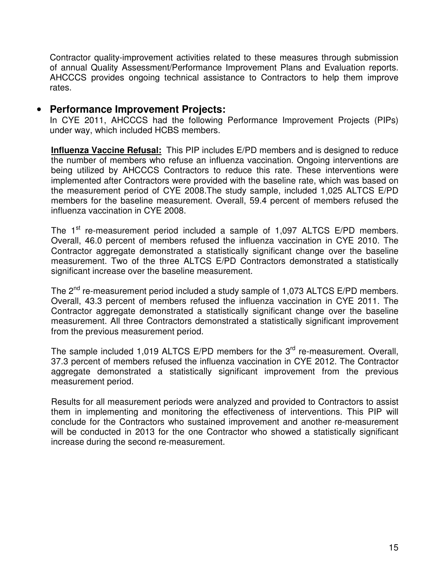Contractor quality-improvement activities related to these measures through submission of annual Quality Assessment/Performance Improvement Plans and Evaluation reports. AHCCCS provides ongoing technical assistance to Contractors to help them improve rates.

#### • **Performance Improvement Projects:**

In CYE 2011, AHCCCS had the following Performance Improvement Projects (PIPs) under way, which included HCBS members.

**Influenza Vaccine Refusal:** This PIP includes E/PD members and is designed to reduce the number of members who refuse an influenza vaccination. Ongoing interventions are being utilized by AHCCCS Contractors to reduce this rate. These interventions were implemented after Contractors were provided with the baseline rate, which was based on the measurement period of CYE 2008.The study sample, included 1,025 ALTCS E/PD members for the baseline measurement. Overall, 59.4 percent of members refused the influenza vaccination in CYE 2008.

The  $1<sup>st</sup>$  re-measurement period included a sample of 1,097 ALTCS E/PD members. Overall, 46.0 percent of members refused the influenza vaccination in CYE 2010. The Contractor aggregate demonstrated a statistically significant change over the baseline measurement. Two of the three ALTCS E/PD Contractors demonstrated a statistically significant increase over the baseline measurement.

The 2<sup>nd</sup> re-measurement period included a study sample of 1,073 ALTCS E/PD members. Overall, 43.3 percent of members refused the influenza vaccination in CYE 2011. The Contractor aggregate demonstrated a statistically significant change over the baseline measurement. All three Contractors demonstrated a statistically significant improvement from the previous measurement period.

The sample included 1,019 ALTCS E/PD members for the  $3<sup>rd</sup>$  re-measurement. Overall, 37.3 percent of members refused the influenza vaccination in CYE 2012. The Contractor aggregate demonstrated a statistically significant improvement from the previous measurement period.

Results for all measurement periods were analyzed and provided to Contractors to assist them in implementing and monitoring the effectiveness of interventions. This PIP will conclude for the Contractors who sustained improvement and another re-measurement will be conducted in 2013 for the one Contractor who showed a statistically significant increase during the second re-measurement.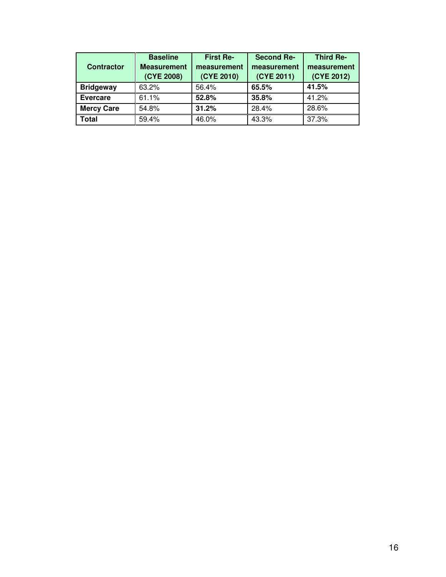| <b>Contractor</b> | <b>Baseline</b><br><b>Measurement</b><br>(CYE 2008) | <b>First Re-</b><br>measurement<br>(CYE 2010) | <b>Second Re-</b><br>measurement<br>(CYE 2011) | <b>Third Re-</b><br>measurement<br>(CYE 2012) |
|-------------------|-----------------------------------------------------|-----------------------------------------------|------------------------------------------------|-----------------------------------------------|
| <b>Bridgeway</b>  | 63.2%                                               | 56.4%                                         | 65.5%                                          | 41.5%                                         |
| <b>Evercare</b>   | 61.1%                                               | 52.8%                                         | 35.8%                                          | 41.2%                                         |
| <b>Mercy Care</b> | 54.8%                                               | 31.2%                                         | 28.4%                                          | 28.6%                                         |
| <b>Total</b>      | 59.4%                                               | 46.0%                                         | 43.3%                                          | 37.3%                                         |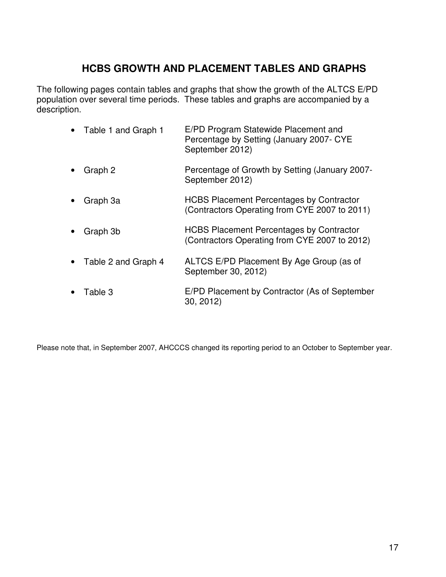# **HCBS GROWTH AND PLACEMENT TABLES AND GRAPHS**

The following pages contain tables and graphs that show the growth of the ALTCS E/PD population over several time periods. These tables and graphs are accompanied by a description.

| Table 1 and Graph 1 | E/PD Program Statewide Placement and<br>Percentage by Setting (January 2007- CYE<br>September 2012) |
|---------------------|-----------------------------------------------------------------------------------------------------|
| Graph 2             | Percentage of Growth by Setting (January 2007-<br>September 2012)                                   |
| Graph 3a            | <b>HCBS Placement Percentages by Contractor</b><br>(Contractors Operating from CYE 2007 to 2011)    |
| Graph 3b            | <b>HCBS Placement Percentages by Contractor</b><br>(Contractors Operating from CYE 2007 to 2012)    |
| Table 2 and Graph 4 | ALTCS E/PD Placement By Age Group (as of<br>September 30, 2012)                                     |
| Table 3             | E/PD Placement by Contractor (As of September<br>30, 2012                                           |

Please note that, in September 2007, AHCCCS changed its reporting period to an October to September year.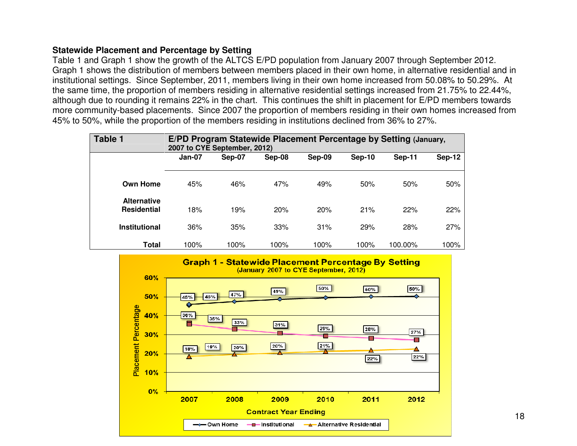#### **Statewide Placement and Percentage by Setting**

 Table 1 and Graph 1 show the growth of the ALTCS E/PD population from January 2007 through September 2012. Graph 1 shows the distribution of members between members placed in their own home, in alternative residential and in institutional settings. Since September, 2011, members living in their own home increased from 50.08% to 50.29%. At the same time, the proportion of members residing in alternative residential settings increased from 21.75% to 22.44%, although due to rounding it remains 22% in the chart. This continues the shift in placement for E/PD members towards more community-based placements. Since 2007 the proportion of members residing in their own homes increased from 45% to 50%, while the proportion of the members residing in institutions declined from 36% to 27%.

| <b>Table 1</b>                           | E/PD Program Statewide Placement Percentage by Setting (January,<br>2007 to CYE September, 2012) |        |        |        |               |               |               |  |  |  |
|------------------------------------------|--------------------------------------------------------------------------------------------------|--------|--------|--------|---------------|---------------|---------------|--|--|--|
|                                          | $Jan-07$                                                                                         | Sep-07 | Sep-08 | Sep-09 | <b>Sep-10</b> | <b>Sep-11</b> | <b>Sep-12</b> |  |  |  |
| <b>Own Home</b>                          | 45%                                                                                              | 46%    | 47%    | 49%    | 50%           | 50%           | 50%           |  |  |  |
| <b>Alternative</b><br><b>Residential</b> | 18%                                                                                              | 19%    | 20%    | 20%    | 21%           | 22%           | 22%           |  |  |  |
| <b>Institutional</b>                     | 36%                                                                                              | 35%    | 33%    | 31%    | 29%           | 28%           | 27%           |  |  |  |
| <b>Total</b>                             | 100%                                                                                             | 100%   | 100%   | 100%   | 100%          | 100.00%       | 100%          |  |  |  |

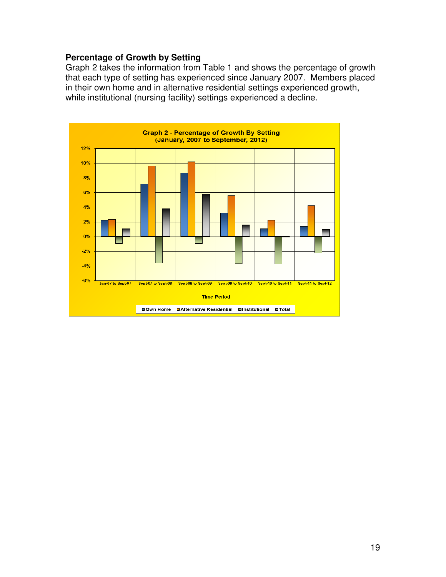#### **Percentage of Growth by Setting**

Graph 2 takes the information from Table 1 and shows the percentage of growth that each type of setting has experienced since January 2007. Members placed in their own home and in alternative residential settings experienced growth, while institutional (nursing facility) settings experienced a decline.

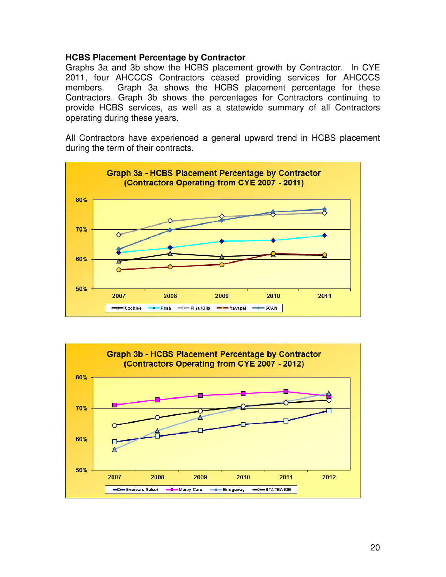#### **HCBS Placement Percentage by Contractor**

Graphs 3a and 3b show the HCBS placement growth by Contractor. In CYE 2011, four AHCCCS Contractors ceased providing services for AHCCCS members. Graph 3a shows the HCBS placement percentage for these Contractors. Graph 3b shows the percentages for Contractors continuing to provide HCBS services, as well as a statewide summary of all Contractors operating during these years.

All Contractors have experienced a general upward trend in HCBS placement during the term of their contracts.



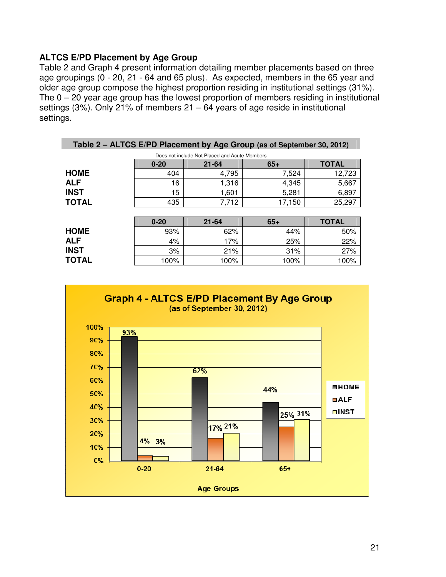#### **ALTCS E/PD Placement by Age Group**

Table 2 and Graph 4 present information detailing member placements based on three age groupings (0 - 20, 21 - 64 and 65 plus). As expected, members in the 65 year and older age group compose the highest proportion residing in institutional settings (31%). The 0 – 20 year age group has the lowest proportion of members residing in institutional settings (3%). Only 21% of members  $21 - 64$  years of age reside in institutional settings.

| Table 2 - ALTCS E/PD Placement by Age Group (as of September 30, 2012) |                                                |           |        |              |  |  |  |  |  |  |
|------------------------------------------------------------------------|------------------------------------------------|-----------|--------|--------------|--|--|--|--|--|--|
|                                                                        | Does not include Not Placed and Acute Members  |           |        |              |  |  |  |  |  |  |
|                                                                        | <b>TOTAL</b><br>$65+$<br>$0 - 20$<br>$21 - 64$ |           |        |              |  |  |  |  |  |  |
| <b>HOME</b>                                                            | 404                                            | 4,795     | 7,524  | 12,723       |  |  |  |  |  |  |
| <b>ALF</b>                                                             | 16                                             | 1,316     | 4,345  | 5,667        |  |  |  |  |  |  |
| <b>INST</b>                                                            | 15                                             | 1,601     | 5,281  | 6,897        |  |  |  |  |  |  |
| <b>TOTAL</b>                                                           | 435                                            | 7,712     | 17,150 | 25,297       |  |  |  |  |  |  |
|                                                                        |                                                |           |        |              |  |  |  |  |  |  |
|                                                                        | $0 - 20$                                       | $21 - 64$ | $65+$  | <b>TOTAL</b> |  |  |  |  |  |  |
| <b>HOME</b>                                                            | 93%                                            | 62%       | 44%    | 50%          |  |  |  |  |  |  |
| <b>ALF</b>                                                             | 4%                                             | 17%       | 25%    | 22%          |  |  |  |  |  |  |
| <b>INST</b>                                                            | 3%                                             | 21%       | 31%    | 27%          |  |  |  |  |  |  |
| <b>TOTAL</b>                                                           | 100%                                           | 100%      | 100%   | 100%         |  |  |  |  |  |  |

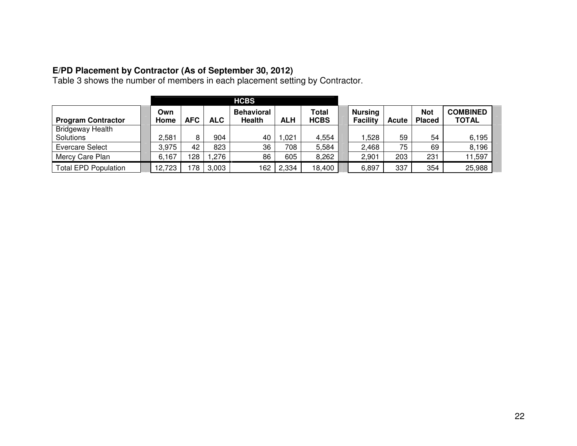**E/PD Placement by Contractor (As of September 30, 2012)**  Table 3 shows the number of members in each placement setting by Contractor.

|                                      |             |            |            | <b>HCBS</b>                 |            |                      |                                   |              |                             |                          |
|--------------------------------------|-------------|------------|------------|-----------------------------|------------|----------------------|-----------------------------------|--------------|-----------------------------|--------------------------|
| <b>Program Contractor</b>            | Own<br>Home | <b>AFC</b> | <b>ALC</b> | <b>Behavioral</b><br>Health | <b>ALH</b> | Total<br><b>HCBS</b> | <b>Nursing</b><br><b>Facility</b> | <b>Acute</b> | <b>Not</b><br><b>Placed</b> | <b>COMBINED</b><br>TOTAL |
| <b>Bridgeway Health</b><br>Solutions | 2,581       | 8          | 904        | 40                          | .021       | 4,554                | .528                              | 59           | 54                          | 6,195                    |
| Evercare Select                      | 3,975       | 42         | 823        | 36                          | 708        | 5,584                | 2,468                             | 75           | 69                          | 8,196                    |
| Mercy Care Plan                      | 6,167       | 128        | .276       | 86                          | 605        | 8,262                | 2,901                             | 203          | 231                         | 11,597                   |
| <b>Total EPD Population</b>          | 12,723      | 78         | 3,003      | 162                         | 2,334      | 18,400               | 6,897                             | 337          | 354                         | 25,988                   |